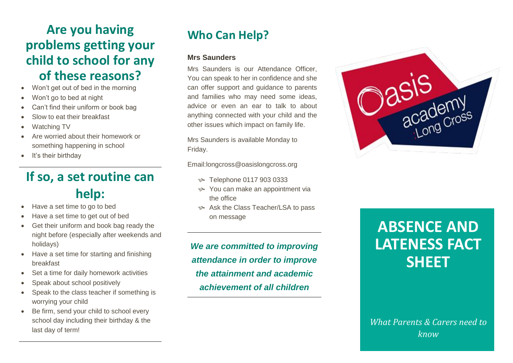# **Are you having problems getting your child to school for any of these reasons?**

- Won't get out of bed in the morning
- Won't go to bed at night
- Can't find their uniform or book bag
- Slow to eat their breakfast
- Watching TV
- Are worried about their homework or something happening in school
- It's their birthday

# **If so, a set routine can help:**

- Have a set time to go to bed
- Have a set time to get out of bed
- Get their uniform and book bag ready the night before (especially after weekends and holidays)
- Have a set time for starting and finishing breakfast
- Set a time for daily homework activities
- Speak about school positively
- Speak to the class teacher if something is worrying your child
- Be firm, send your child to school every school day including their birthday & the last day of term!

# **Who Can Help?**

### **Mrs Saunders**

Mrs Saunders is our Attendance Officer, You can speak to her in confidence and she can offer support and guidance to parents and families who may need some ideas, advice or even an ear to talk to about anything connected with your child and the other issues which impact on family life.

Mrs Saunders is available Monday to Friday.

Email:longcross@oasislongcross.org

- Telephone 0117 903 0333
- You can make an appointment via the office
- Ask the Class Teacher/LSA to pass on message

*We are committed to improving attendance in order to improve the attainment and academic achievement of all children*



# **ABSENCE AND LATENESS FACT SHEET**

*What Parents & Carers need to know*